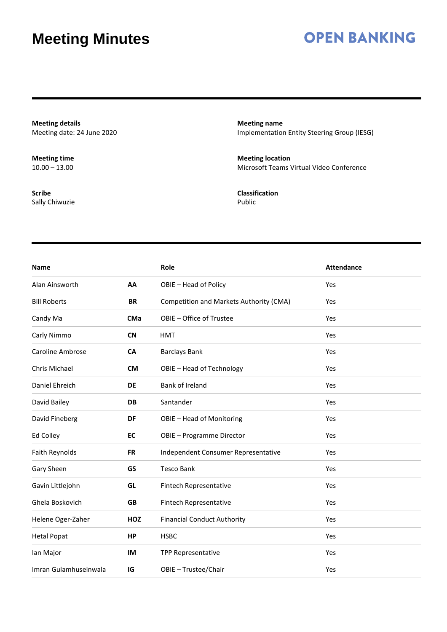### **OPEN BANKING**

**Meeting details** Meeting date: 24 June 2020

**Meeting time**  $10.00 - 13.00$ 

**Scribe** Sally Chiwuzie **Meeting name** Implementation Entity Steering Group (IESG)

**Meeting location** Microsoft Teams Virtual Video Conference

**Classification** Public

| <b>Name</b>             |            | Role                                    | <b>Attendance</b> |
|-------------------------|------------|-----------------------------------------|-------------------|
| Alan Ainsworth          | AA         | OBIE - Head of Policy                   | Yes               |
| <b>Bill Roberts</b>     | <b>BR</b>  | Competition and Markets Authority (CMA) | Yes               |
| Candy Ma                | <b>CMa</b> | OBIE - Office of Trustee                | Yes               |
| Carly Nimmo             | <b>CN</b>  | <b>HMT</b>                              | Yes               |
| <b>Caroline Ambrose</b> | <b>CA</b>  | <b>Barclays Bank</b>                    | Yes               |
| Chris Michael           | <b>CM</b>  | OBIE - Head of Technology               | Yes               |
| Daniel Ehreich          | <b>DE</b>  | Bank of Ireland                         | Yes               |
| David Bailey            | <b>DB</b>  | Santander                               | Yes               |
| David Fineberg          | DF         | OBIE - Head of Monitoring               | Yes               |
| Ed Colley               | EC         | OBIE - Programme Director               | Yes               |
| Faith Reynolds          | <b>FR</b>  | Independent Consumer Representative     | Yes               |
| Gary Sheen              | GS         | <b>Tesco Bank</b>                       | Yes               |
| Gavin Littlejohn        | GL         | Fintech Representative                  | Yes               |
| Ghela Boskovich         | <b>GB</b>  | Fintech Representative                  | Yes               |
| Helene Oger-Zaher       | HOZ        | <b>Financial Conduct Authority</b>      | Yes               |
| <b>Hetal Popat</b>      | HP         | <b>HSBC</b>                             | Yes               |
| lan Major               | IM         | <b>TPP Representative</b>               | Yes               |
| Imran Gulamhuseinwala   | IG         | OBIE - Trustee/Chair                    | Yes               |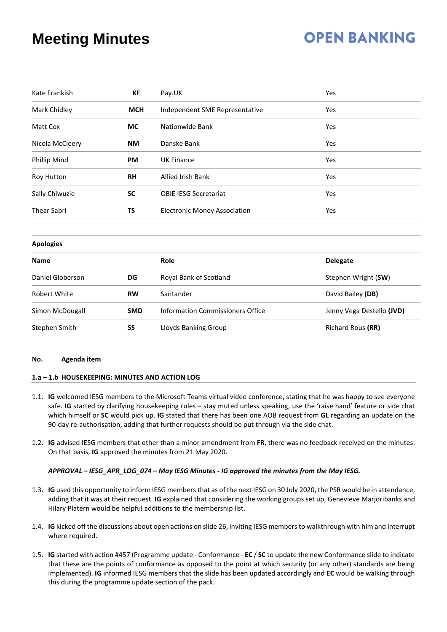# **OPEN BANKING**

| Kate Frankish      | <b>KF</b>  | Pay.UK                              | Yes                 |
|--------------------|------------|-------------------------------------|---------------------|
| Mark Chidley       | <b>MCH</b> | Independent SME Representative      | Yes                 |
| Matt Cox           | МC         | Nationwide Bank                     | Yes                 |
| Nicola McCleery    | NΜ         | Danske Bank                         | Yes                 |
| Phillip Mind       | <b>PM</b>  | <b>UK Finance</b>                   | Yes                 |
| Roy Hutton         | <b>RH</b>  | <b>Allied Irish Bank</b>            | Yes                 |
| Sally Chiwuzie     | SC         | <b>OBIE IESG Secretariat</b>        | Yes                 |
| <b>Thear Sabri</b> | TS         | <b>Electronic Money Association</b> | Yes                 |
| <b>Apologies</b>   |            |                                     |                     |
| <b>Name</b>        |            | Role                                | <b>Delegate</b>     |
| Daniel Globerson   | DG         | Royal Bank of Scotland              | Stephen Wright (SW) |

| Dalilei Giubel Sull<br>טש |            | <b>NUVAL DAIIR UL SCULIAIIU</b>  | <b>SLEPTIELL VVITELL (SWV)</b> |  |
|---------------------------|------------|----------------------------------|--------------------------------|--|
| Robert White              | <b>RW</b>  | Santander                        | David Bailey (DB)              |  |
| Simon McDougall           | <b>SMD</b> | Information Commissioners Office | Jenny Vega Destello (JVD)      |  |
| Stephen Smith             | SS         | Lloyds Banking Group             | Richard Rous (RR)              |  |

#### **No. Agenda item**

#### **1.a – 1.b HOUSEKEEPING: MINUTES AND ACTION LOG**

- 1.1. **IG** welcomed IESG members to the Microsoft Teams virtual video conference, stating that he was happy to see everyone safe. **IG** started by clarifying housekeeping rules – stay muted unless speaking, use the 'raise hand' feature or side chat which himself or **SC** would pick up. **IG** stated that there has been one AOB request from **GL** regarding an update on the 90-day re-authorisation, adding that further requests should be put through via the side chat.
- 1.2. **IG** advised IESG members that other than a minor amendment from **FR**, there was no feedback received on the minutes. On that basis, **IG** approved the minutes from 21 May 2020.

#### *APPROVAL – IESG\_APR\_LOG\_074 – May IESG Minutes - IG approved the minutes from the May IESG.*

- 1.3. **IG** used this opportunity to inform IESG members that as of the next IESG on 30 July 2020, the PSR would be in attendance, adding that it was at their request. **IG** explained that considering the working groups set up, Genevieve Marjoribanks and Hilary Platern would be helpful additions to the membership list.
- 1.4. **IG** kicked off the discussions about open actions on slide 26, inviting IESG members to walkthrough with him and interrupt where required.
- 1.5. **IG** started with action #457 (Programme update Conformance **EC** / **SC** to update the new Conformance slide to indicate that these are the points of conformance as opposed to the point at which security (or any other) standards are being implemented). **IG** informed IESG members that the slide has been updated accordingly and **EC** would be walking through this during the programme update section of the pack.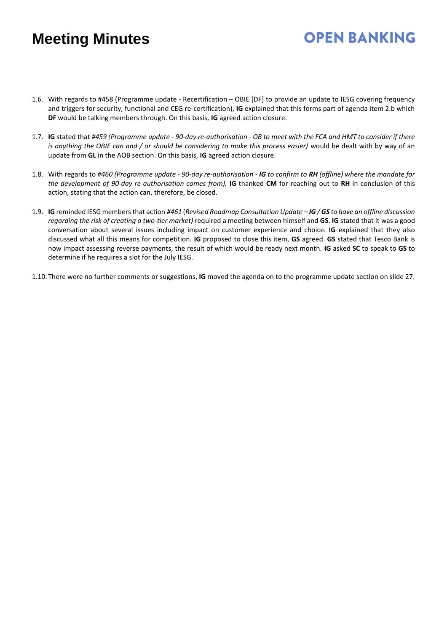1.6. With regards to #458 (Programme update - Recertification – OBIE [DF] to provide an update to IESG covering frequency and triggers for security, functional and CEG re-certification), **IG** explained that this forms part of agenda item 2.b which **DF** would be talking members through. On this basis, **IG** agreed action closure.

**OPEN BANKING** 

- 1.7. **IG** stated that *#459 (Programme update - 90-day re-authorisation - OB to meet with the FCA and HMT to consider if there is anything the OBIE can and / or should be considering to make this process easier)* would be dealt with by way of an update from **GL** in the AOB section. On this basis, **IG** agreed action closure.
- 1.8. With regards to *#460 (Programme update - 90-day re-authorisation - IG to confirm to RH (offline) where the mandate for the development of 90-day re-authorisation comes from),* **IG** thanked **CM** for reaching out to **RH** in conclusion of this action, stating that the action can, therefore, be closed.
- 1.9. **IG** reminded IESG members that action *#461* (*Revised Roadmap Consultation Update – IG / GS to have an offline discussion regarding the risk of creating a two-tier market)* required a meeting between himself and **GS**. **IG** stated that it was a good conversation about several issues including impact on customer experience and choice. **IG** explained that they also discussed what all this means for competition. **IG** proposed to close this item, **GS** agreed. **GS** stated that Tesco Bank is now impact assessing reverse payments, the result of which would be ready next month. **IG** asked **SC** to speak to **GS** to determine if he requires a slot for the July IESG.
- 1.10. There were no further comments or suggestions, **IG** moved the agenda on to the programme update section on slide 27.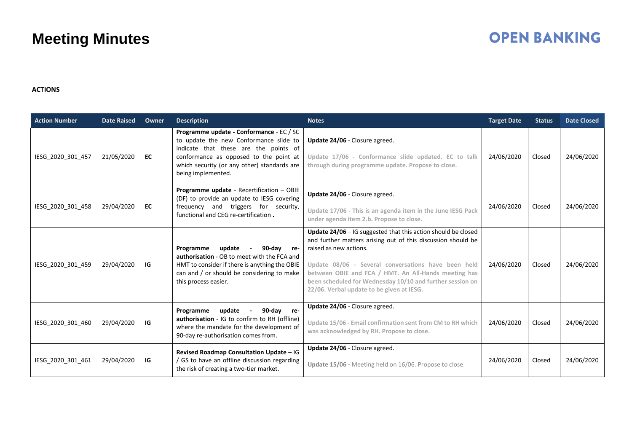# **OPEN BANKING**

#### **ACTIONS**

| <b>Action Number</b> | <b>Date Raised</b> | <b>Owner</b> | <b>Description</b>                                                                                                                                                                                                                         | <b>Notes</b>                                                                                                                                                                                                                                                                                                                                                                       | <b>Target Date</b> | <b>Status</b> | <b>Date Closed</b> |
|----------------------|--------------------|--------------|--------------------------------------------------------------------------------------------------------------------------------------------------------------------------------------------------------------------------------------------|------------------------------------------------------------------------------------------------------------------------------------------------------------------------------------------------------------------------------------------------------------------------------------------------------------------------------------------------------------------------------------|--------------------|---------------|--------------------|
| IESG_2020_301_457    | 21/05/2020         | EC           | Programme update - Conformance - EC / SC<br>to update the new Conformance slide to<br>indicate that these are the points of<br>conformance as opposed to the point at<br>which security (or any other) standards are<br>being implemented. | Update 24/06 - Closure agreed.<br>Update 17/06 - Conformance slide updated. EC to talk<br>through during programme update. Propose to close.                                                                                                                                                                                                                                       | 24/06/2020         | Closed        | 24/06/2020         |
| IESG_2020_301_458    | 29/04/2020         | EC           | Programme update - Recertification - OBIE<br>(DF) to provide an update to IESG covering<br>frequency and triggers for security,<br>functional and CEG re-certification.                                                                    | Update 24/06 - Closure agreed.<br>Update 17/06 - This is an agenda item in the June IESG Pack<br>under agenda item 2.b. Propose to close.                                                                                                                                                                                                                                          | 24/06/2020         | Closed        | 24/06/2020         |
| IESG 2020 301 459    | 29/04/2020         | IG           | Programme<br>update<br>90-dav<br>re-<br>authorisation - OB to meet with the FCA and<br>HMT to consider if there is anything the OBIE<br>can and / or should be considering to make<br>this process easier.                                 | Update $24/06$ – IG suggested that this action should be closed<br>and further matters arising out of this discussion should be<br>raised as new actions.<br>Update 08/06 - Several conversations have been held<br>between OBIE and FCA / HMT. An All-Hands meeting has<br>been scheduled for Wednesday 10/10 and further session on<br>22/06. Verbal update to be given at IESG. | 24/06/2020         | Closed        | 24/06/2020         |
| IESG 2020 301 460    | 29/04/2020         | IG           | update<br>90-day re-<br>Programme<br>authorisation - IG to confirm to RH (offline)<br>where the mandate for the development of<br>90-day re-authorisation comes from.                                                                      | Update 24/06 - Closure agreed.<br>Update 15/06 - Email confirmation sent from CM to RH which<br>was acknowledged by RH. Propose to close.                                                                                                                                                                                                                                          | 24/06/2020         | Closed        | 24/06/2020         |
| IESG_2020_301_461    | 29/04/2020         | IG           | Revised Roadmap Consultation Update - IG<br>/ GS to have an offline discussion regarding<br>the risk of creating a two-tier market.                                                                                                        | Update 24/06 - Closure agreed.<br>Update 15/06 - Meeting held on 16/06. Propose to close.                                                                                                                                                                                                                                                                                          | 24/06/2020         | Closed        | 24/06/2020         |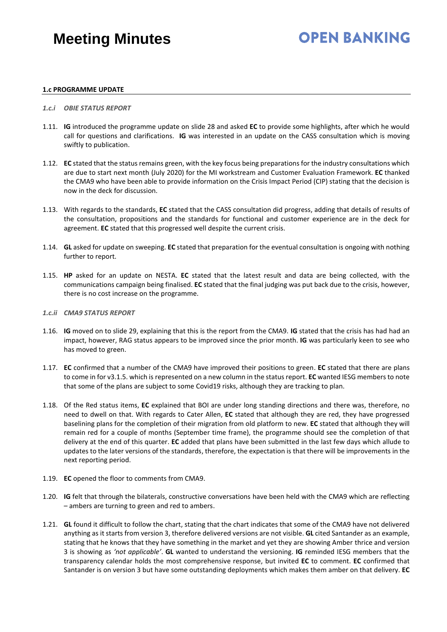# **OPEN BANKING**

#### **1.c PROGRAMME UPDATE**

#### *1.c.i OBIE STATUS REPORT*

- 1.11. **IG** introduced the programme update on slide 28 and asked **EC** to provide some highlights, after which he would call for questions and clarifications. **IG** was interested in an update on the CASS consultation which is moving swiftly to publication.
- 1.12. **EC** stated that the status remains green, with the key focus being preparations for the industry consultations which are due to start next month (July 2020) for the MI workstream and Customer Evaluation Framework. **EC** thanked the CMA9 who have been able to provide information on the Crisis Impact Period (CIP) stating that the decision is now in the deck for discussion.
- 1.13. With regards to the standards, **EC** stated that the CASS consultation did progress, adding that details of results of the consultation, propositions and the standards for functional and customer experience are in the deck for agreement. **EC** stated that this progressed well despite the current crisis.
- 1.14. **GL** asked for update on sweeping. **EC** stated that preparation for the eventual consultation is ongoing with nothing further to report.
- 1.15. **HP** asked for an update on NESTA. **EC** stated that the latest result and data are being collected, with the communications campaign being finalised. **EC** stated that the final judging was put back due to the crisis, however, there is no cost increase on the programme.
- *1.c.ii CMA9 STATUS REPORT*
- 1.16. **IG** moved on to slide 29, explaining that this is the report from the CMA9. **IG** stated that the crisis has had had an impact, however, RAG status appears to be improved since the prior month. **IG** was particularly keen to see who has moved to green.
- 1.17. **EC** confirmed that a number of the CMA9 have improved their positions to green. **EC** stated that there are plans to come in for v3.1.5. which is represented on a new column in the status report. **EC** wanted IESG members to note that some of the plans are subject to some Covid19 risks, although they are tracking to plan.
- 1.18. Of the Red status items, **EC** explained that BOI are under long standing directions and there was, therefore, no need to dwell on that. With regards to Cater Allen, **EC** stated that although they are red, they have progressed baselining plans for the completion of their migration from old platform to new. **EC** stated that although they will remain red for a couple of months (September time frame), the programme should see the completion of that delivery at the end of this quarter. **EC** added that plans have been submitted in the last few days which allude to updates to the later versions of the standards, therefore, the expectation is that there will be improvements in the next reporting period.
- 1.19. **EC** opened the floor to comments from CMA9.
- 1.20. **IG** felt that through the bilaterals, constructive conversations have been held with the CMA9 which are reflecting – ambers are turning to green and red to ambers.
- 1.21. **GL** found it difficult to follow the chart, stating that the chart indicates that some of the CMA9 have not delivered anything as it starts from version 3, therefore delivered versions are not visible. **GL** cited Santander as an example, stating that he knows that they have something in the market and yet they are showing Amber thrice and version 3 is showing as *'not applicable'*. **GL** wanted to understand the versioning. **IG** reminded IESG members that the transparency calendar holds the most comprehensive response, but invited **EC** to comment. **EC** confirmed that Santander is on version 3 but have some outstanding deployments which makes them amber on that delivery. **EC**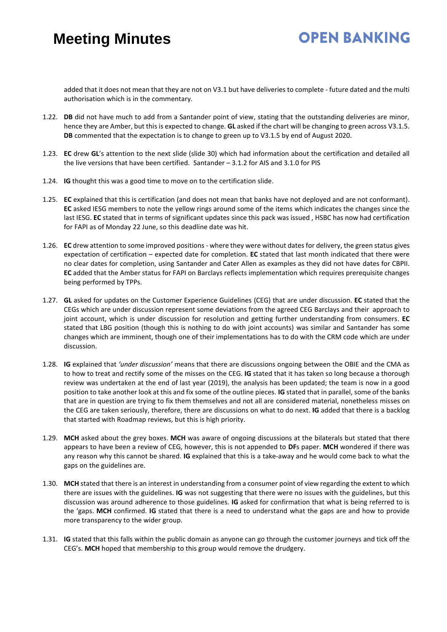# **OPEN BANKING**

added that it does not mean that they are not on V3.1 but have deliveries to complete - future dated and the multi authorisation which is in the commentary.

- 1.22. **DB** did not have much to add from a Santander point of view, stating that the outstanding deliveries are minor, hence they are Amber, but this is expected to change. **GL** asked if the chart will be changing to green across V3.1.5. **DB** commented that the expectation is to change to green up to V3.1.5 by end of August 2020.
- 1.23. **EC** drew **GL**'s attention to the next slide (slide 30) which had information about the certification and detailed all the live versions that have been certified. Santander  $-3.1.2$  for AIS and 3.1.0 for PIS
- 1.24. **IG** thought this was a good time to move on to the certification slide.
- 1.25. **EC** explained that this is certification (and does not mean that banks have not deployed and are not conformant). **EC** asked IESG members to note the yellow rings around some of the items which indicates the changes since the last IESG. **EC** stated that in terms of significant updates since this pack was issued , HSBC has now had certification for FAPI as of Monday 22 June, so this deadline date was hit.
- 1.26. **EC** drew attention to some improved positions where they were without dates for delivery, the green status gives expectation of certification – expected date for completion. **EC** stated that last month indicated that there were no clear dates for completion, using Santander and Cater Allen as examples as they did not have dates for CBPII. **EC** added that the Amber status for FAPI on Barclays reflects implementation which requires prerequisite changes being performed by TPPs.
- 1.27. **GL** asked for updates on the Customer Experience Guidelines (CEG) that are under discussion. **EC** stated that the CEGs which are under discussion represent some deviations from the agreed CEG Barclays and their approach to joint account, which is under discussion for resolution and getting further understanding from consumers. **EC** stated that LBG position (though this is nothing to do with joint accounts) was similar and Santander has some changes which are imminent, though one of their implementations has to do with the CRM code which are under discussion.
- 1.28. **IG** explained that *'under discussion'* means that there are discussions ongoing between the OBIE and the CMA as to how to treat and rectify some of the misses on the CEG. **IG** stated that it has taken so long because a thorough review was undertaken at the end of last year (2019), the analysis has been updated; the team is now in a good position to take another look at this and fix some of the outline pieces. **IG** stated that in parallel, some of the banks that are in question are trying to fix them themselves and not all are considered material, nonetheless misses on the CEG are taken seriously, therefore, there are discussions on what to do next. **IG** added that there is a backlog that started with Roadmap reviews, but this is high priority.
- 1.29. **MCH** asked about the grey boxes. **MCH** was aware of ongoing discussions at the bilaterals but stated that there appears to have been a review of CEG, however, this is not appended to **DF**s paper. **MCH** wondered if there was any reason why this cannot be shared. **IG** explained that this is a take-away and he would come back to what the gaps on the guidelines are.
- 1.30. **MCH** stated that there is an interest in understanding from a consumer point of view regarding the extent to which there are issues with the guidelines. **IG** was not suggesting that there were no issues with the guidelines, but this discussion was around adherence to those guidelines. **IG** asked for confirmation that what is being referred to is the 'gaps. **MCH** confirmed. **IG** stated that there is a need to understand what the gaps are and how to provide more transparency to the wider group.
- 1.31. **IG** stated that this falls within the public domain as anyone can go through the customer journeys and tick off the CEG's. **MCH** hoped that membership to this group would remove the drudgery.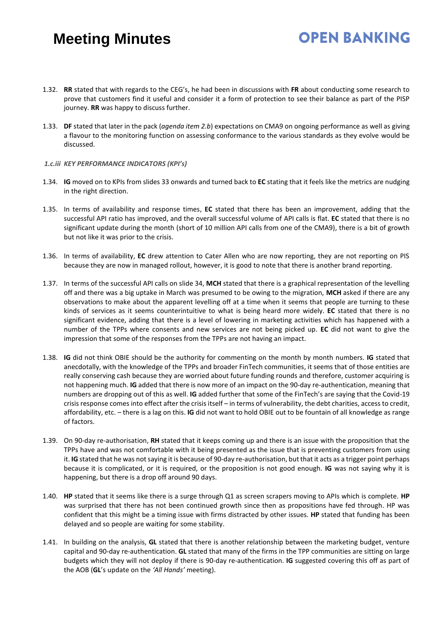1.32. **RR** stated that with regards to the CEG's, he had been in discussions with **FR** about conducting some research to prove that customers find it useful and consider it a form of protection to see their balance as part of the PISP journey. **RR** was happy to discuss further.

**OPEN BANKING** 

- 1.33. **DF** stated that later in the pack (*agenda item 2.b*) expectations on CMA9 on ongoing performance as well as giving a flavour to the monitoring function on assessing conformance to the various standards as they evolve would be discussed.
- *1.c.iii KEY PERFORMANCE INDICATORS (KPI's)*
- 1.34. **IG** moved on to KPIs from slides 33 onwards and turned back to **EC** stating that it feels like the metrics are nudging in the right direction.
- 1.35. In terms of availability and response times, **EC** stated that there has been an improvement, adding that the successful API ratio has improved, and the overall successful volume of API calls is flat. **EC** stated that there is no significant update during the month (short of 10 million API calls from one of the CMA9), there is a bit of growth but not like it was prior to the crisis.
- 1.36. In terms of availability, **EC** drew attention to Cater Allen who are now reporting, they are not reporting on PIS because they are now in managed rollout, however, it is good to note that there is another brand reporting.
- 1.37. In terms of the successful API calls on slide 34, **MCH** stated that there is a graphical representation of the levelling off and there was a big uptake in March was presumed to be owing to the migration, **MCH** asked if there are any observations to make about the apparent levelling off at a time when it seems that people are turning to these kinds of services as it seems counterintuitive to what is being heard more widely. **EC** stated that there is no significant evidence, adding that there is a level of lowering in marketing activities which has happened with a number of the TPPs where consents and new services are not being picked up. **EC** did not want to give the impression that some of the responses from the TPPs are not having an impact.
- 1.38. **IG** did not think OBIE should be the authority for commenting on the month by month numbers. **IG** stated that anecdotally, with the knowledge of the TPPs and broader FinTech communities, it seems that of those entities are really conserving cash because they are worried about future funding rounds and therefore, customer acquiring is not happening much. **IG** added that there is now more of an impact on the 90-day re-authentication, meaning that numbers are dropping out of this as well. **IG** added further that some of the FinTech's are saying that the Covid-19 crisis response comes into effect after the crisis itself – in terms of vulnerability, the debt charities, access to credit, affordability, etc. – there is a lag on this. **IG** did not want to hold OBIE out to be fountain of all knowledge as range of factors.
- 1.39. On 90-day re-authorisation, **RH** stated that it keeps coming up and there is an issue with the proposition that the TPPs have and was not comfortable with it being presented as the issue that is preventing customers from using it. **IG** stated that he was not saying it is because of 90-day re-authorisation, but that it acts as a trigger point perhaps because it is complicated, or it is required, or the proposition is not good enough. **IG** was not saying why it is happening, but there is a drop off around 90 days.
- 1.40. **HP** stated that it seems like there is a surge through Q1 as screen scrapers moving to APIs which is complete. **HP** was surprised that there has not been continued growth since then as propositions have fed through. HP was confident that this might be a timing issue with firms distracted by other issues. **HP** stated that funding has been delayed and so people are waiting for some stability.
- 1.41. In building on the analysis, **GL** stated that there is another relationship between the marketing budget, venture capital and 90-day re-authentication. **GL** stated that many of the firms in the TPP communities are sitting on large budgets which they will not deploy if there is 90-day re-authentication. **IG** suggested covering this off as part of the AOB (**GL**'s update on the *'All Hands'* meeting).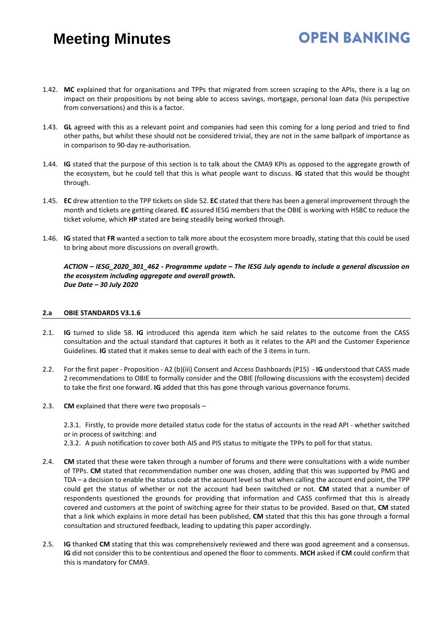1.42. **MC** explained that for organisations and TPPs that migrated from screen scraping to the APIs, there is a lag on impact on their propositions by not being able to access savings, mortgage, personal loan data (his perspective from conversations) and this is a factor.

**OPEN BANKING** 

- 1.43. **GL** agreed with this as a relevant point and companies had seen this coming for a long period and tried to find other paths, but whilst these should not be considered trivial, they are not in the same ballpark of importance as in comparison to 90-day re-authorisation.
- 1.44. **IG** stated that the purpose of this section is to talk about the CMA9 KPIs as opposed to the aggregate growth of the ecosystem, but he could tell that this is what people want to discuss. **IG** stated that this would be thought through.
- 1.45. **EC** drew attention to the TPP tickets on slide 52. **EC** stated that there has been a general improvement through the month and tickets are getting cleared. **EC** assured IESG members that the OBIE is working with HSBC to reduce the ticket volume, which **HP** stated are being steadily being worked through.
- 1.46. **IG** stated that **FR** wanted a section to talk more about the ecosystem more broadly, stating that this could be used to bring about more discussions on overall growth.

*ACTION – IESG\_2020\_301\_462 - Programme update – The IESG July agenda to include a general discussion on the ecosystem including aggregate and overall growth. Due Date – 30 July 2020* 

#### **2.a OBIE STANDARDS V3.1.6**

- 2.1. **IG** turned to slide 58. **IG** introduced this agenda item which he said relates to the outcome from the CASS consultation and the actual standard that captures it both as it relates to the API and the Customer Experience Guidelines. **IG** stated that it makes sense to deal with each of the 3 items in turn.
- 2.2. For the first paper Proposition A2 (b)(iii) Consent and Access Dashboards (P15) **IG** understood that CASS made 2 recommendations to OBIE to formally consider and the OBIE (following discussions with the ecosystem) decided to take the first one forward. **IG** added that this has gone through various governance forums.
- 2.3. **CM** explained that there were two proposals –

2.3.1. Firstly, to provide more detailed status code for the status of accounts in the read API - whether switched or in process of switching: and

2.3.2. A push notification to cover both AIS and PIS status to mitigate the TPPs to poll for that status.

- 2.4. **CM** stated that these were taken through a number of forums and there were consultations with a wide number of TPPs. **CM** stated that recommendation number one was chosen, adding that this was supported by PMG and TDA – a decision to enable the status code at the account level so that when calling the account end point, the TPP could get the status of whether or not the account had been switched or not. **CM** stated that a number of respondents questioned the grounds for providing that information and CASS confirmed that this is already covered and customers at the point of switching agree for their status to be provided. Based on that, **CM** stated that a link which explains in more detail has been published, **CM** stated that this this has gone through a formal consultation and structured feedback, leading to updating this paper accordingly.
- 2.5. **IG** thanked **CM** stating that this was comprehensively reviewed and there was good agreement and a consensus. **IG** did not consider this to be contentious and opened the floor to comments. **MCH** asked if **CM** could confirm that this is mandatory for CMA9.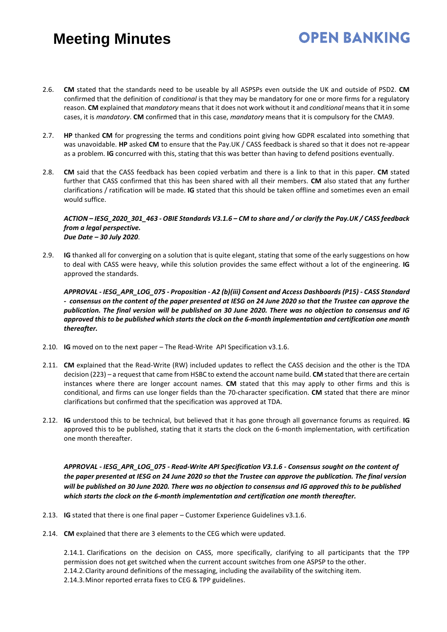2.6. **CM** stated that the standards need to be useable by all ASPSPs even outside the UK and outside of PSD2. **CM** confirmed that the definition of *conditional* is that they may be mandatory for one or more firms for a regulatory reason. **CM** explained that *mandatory* means that it does not work without it and *conditional* means that it in some cases, it is *mandatory*. **CM** confirmed that in this case, *mandatory* means that it is compulsory for the CMA9.

**OPEN BANKING** 

- 2.7. **HP** thanked **CM** for progressing the terms and conditions point giving how GDPR escalated into something that was unavoidable. **HP** asked **CM** to ensure that the Pay.UK / CASS feedback is shared so that it does not re-appear as a problem. **IG** concurred with this, stating that this was better than having to defend positions eventually.
- 2.8. **CM** said that the CASS feedback has been copied verbatim and there is a link to that in this paper. **CM** stated further that CASS confirmed that this has been shared with all their members. **CM** also stated that any further clarifications / ratification will be made. **IG** stated that this should be taken offline and sometimes even an email would suffice.

#### *ACTION – IESG\_2020\_301\_463 - OBIE Standards V3.1.6 – CM to share and / or clarify the Pay.UK / CASS feedback from a legal perspective. Due Date – 30 July 2020*.

2.9. **IG** thanked all for converging on a solution that is quite elegant, stating that some of the early suggestions on how to deal with CASS were heavy, while this solution provides the same effect without a lot of the engineering. **IG** approved the standards.

*APPROVAL - IESG\_APR\_LOG\_075 - Proposition - A2 (b)(iii) Consent and Access Dashboards (P15) - CASS Standard - consensus on the content of the paper presented at IESG on 24 June 2020 so that the Trustee can approve the publication. The final version will be published on 30 June 2020. There was no objection to consensus and IG approved this to be published which starts the clock on the 6-month implementation and certification one month thereafter.* 

- 2.10. **IG** moved on to the next paper The Read-Write API Specification v3.1.6.
- 2.11. **CM** explained that the Read-Write (RW) included updates to reflect the CASS decision and the other is the TDA decision (223) – a request that came from HSBC to extend the account name build. **CM** stated that there are certain instances where there are longer account names. **CM** stated that this may apply to other firms and this is conditional, and firms can use longer fields than the 70-character specification. **CM** stated that there are minor clarifications but confirmed that the specification was approved at TDA.
- 2.12. **IG** understood this to be technical, but believed that it has gone through all governance forums as required. **IG** approved this to be published, stating that it starts the clock on the 6-month implementation, with certification one month thereafter.

*APPROVAL - IESG\_APR\_LOG\_075 - Read-Write API Specification V3.1.6 - Consensus sought on the content of the paper presented at IESG on 24 June 2020 so that the Trustee can approve the publication. The final version will be published on 30 June 2020. There was no objection to consensus and IG approved this to be published which starts the clock on the 6-month implementation and certification one month thereafter.* 

- 2.13. **IG** stated that there is one final paper Customer Experience Guidelines v3.1.6.
- 2.14. **CM** explained that there are 3 elements to the CEG which were updated.

2.14.1. Clarifications on the decision on CASS, more specifically, clarifying to all participants that the TPP permission does not get switched when the current account switches from one ASPSP to the other. 2.14.2.Clarity around definitions of the messaging, including the availability of the switching item. 2.14.3.Minor reported errata fixes to CEG & TPP guidelines.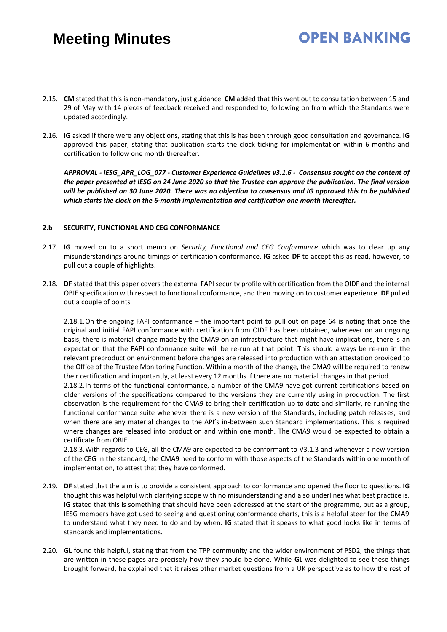# **OPEN BANKING**

- 2.15. **CM** stated that this is non-mandatory, just guidance. **CM** added that this went out to consultation between 15 and 29 of May with 14 pieces of feedback received and responded to, following on from which the Standards were updated accordingly.
- 2.16. **IG** asked if there were any objections, stating that this is has been through good consultation and governance. **IG** approved this paper, stating that publication starts the clock ticking for implementation within 6 months and certification to follow one month thereafter.

*APPROVAL - IESG\_APR\_LOG\_077 - Customer Experience Guidelines v3.1.6 - Consensus sought on the content of the paper presented at IESG on 24 June 2020 so that the Trustee can approve the publication. The final version*  will be published on 30 June 2020. There was no objection to consensus and IG approved this to be published *which starts the clock on the 6-month implementation and certification one month thereafter.* 

#### **2.b SECURITY, FUNCTIONAL AND CEG CONFORMANCE**

- 2.17. **IG** moved on to a short memo on *Security, Functional and CEG Conformance* which was to clear up any misunderstandings around timings of certification conformance. **IG** asked **DF** to accept this as read, however, to pull out a couple of highlights.
- 2.18. **DF** stated that this paper covers the external FAPI security profile with certification from the OIDF and the internal OBIE specification with respect to functional conformance, and then moving on to customer experience. **DF** pulled out a couple of points

2.18.1.On the ongoing FAPI conformance – the important point to pull out on page 64 is noting that once the original and initial FAPI conformance with certification from OIDF has been obtained, whenever on an ongoing basis, there is material change made by the CMA9 on an infrastructure that might have implications, there is an expectation that the FAPI conformance suite will be re-run at that point. This should always be re-run in the relevant preproduction environment before changes are released into production with an attestation provided to the Office of the Trustee Monitoring Function. Within a month of the change, the CMA9 will be required to renew their certification and importantly, at least every 12 months if there are no material changes in that period.

2.18.2.In terms of the functional conformance, a number of the CMA9 have got current certifications based on older versions of the specifications compared to the versions they are currently using in production. The first observation is the requirement for the CMA9 to bring their certification up to date and similarly, re-running the functional conformance suite whenever there is a new version of the Standards, including patch releases, and when there are any material changes to the API's in-between such Standard implementations. This is required where changes are released into production and within one month. The CMA9 would be expected to obtain a certificate from OBIE.

2.18.3.With regards to CEG, all the CMA9 are expected to be conformant to V3.1.3 and whenever a new version of the CEG in the standard, the CMA9 need to conform with those aspects of the Standards within one month of implementation, to attest that they have conformed.

- 2.19. **DF** stated that the aim is to provide a consistent approach to conformance and opened the floor to questions. **IG**  thought this was helpful with **c**larifying scope with no misunderstanding and also underlines what best practice is. **IG** stated that this is something that should have been addressed at the start of the programme, but as a group, IESG members have got used to seeing and questioning conformance charts, this is a helpful steer for the CMA9 to understand what they need to do and by when. **IG** stated that it speaks to what good looks like in terms of standards and implementations.
- 2.20. **GL** found this helpful, stating that from the TPP community and the wider environment of PSD2, the things that are written in these pages are precisely how they should be done. While **GL** was delighted to see these things brought forward, he explained that it raises other market questions from a UK perspective as to how the rest of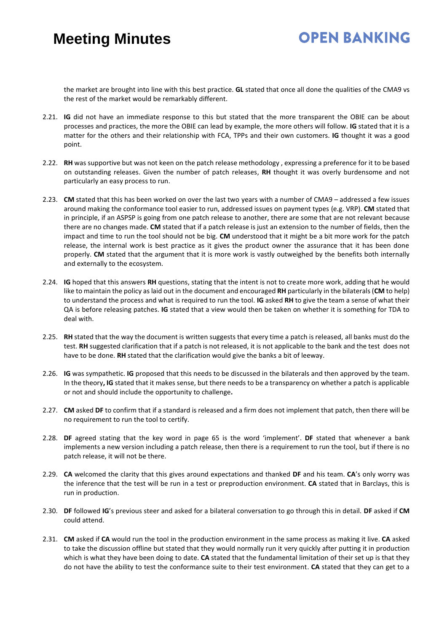### **OPEN BANKING**

the market are brought into line with this best practice. **GL** stated that once all done the qualities of the CMA9 vs the rest of the market would be remarkably different.

- 2.21. **IG** did not have an immediate response to this but stated that the more transparent the OBIE can be about processes and practices, the more the OBIE can lead by example, the more others will follow. **IG** stated that it is a matter for the others and their relationship with FCA, TPPs and their own customers. **IG** thought it was a good point.
- 2.22. **RH** was supportive but was not keen on the patch release methodology , expressing a preference for it to be based on outstanding releases. Given the number of patch releases, **RH** thought it was overly burdensome and not particularly an easy process to run.
- 2.23. **CM** stated that this has been worked on over the last two years with a number of CMA9 addressed a few issues around making the conformance tool easier to run, addressed issues on payment types (e.g. VRP). **CM** stated that in principle, if an ASPSP is going from one patch release to another, there are some that are not relevant because there are no changes made. **CM** stated that if a patch release is just an extension to the number of fields, then the impact and time to run the tool should not be big. **CM** understood that it might be a bit more work for the patch release, the internal work is best practice as it gives the product owner the assurance that it has been done properly. **CM** stated that the argument that it is more work is vastly outweighed by the benefits both internally and externally to the ecosystem.
- 2.24. **IG** hoped that this answers **RH** questions, stating that the intent is not to create more work, adding that he would like to maintain the policy as laid out in the document and encouraged **RH** particularly in the bilaterals (**CM** to help) to understand the process and what is required to run the tool. **IG** asked **RH** to give the team a sense of what their QA is before releasing patches. **IG** stated that a view would then be taken on whether it is something for TDA to deal with.
- 2.25. **RH** stated that the way the document is written suggests that every time a patch is released, all banks must do the test. **RH** suggested clarification that if a patch is not released, it is not applicable to the bank and the test does not have to be done. **RH** stated that the clarification would give the banks a bit of leeway.
- 2.26. **IG** was sympathetic. **IG** proposed that this needs to be discussed in the bilaterals and then approved by the team. In the theory**, IG** stated that it makes sense, but there needs to be a transparency on whether a patch is applicable or not and should include the opportunity to challenge**.**
- 2.27. **CM** asked **DF** to confirm that if a standard is released and a firm does not implement that patch, then there will be no requirement to run the tool to certify.
- 2.28. **DF** agreed stating that the key word in page 65 is the word 'implement'. **DF** stated that whenever a bank implements a new version including a patch release, then there is a requirement to run the tool, but if there is no patch release, it will not be there.
- 2.29. **CA** welcomed the clarity that this gives around expectations and thanked **DF** and his team. **CA**'s only worry was the inference that the test will be run in a test or preproduction environment. **CA** stated that in Barclays, this is run in production.
- 2.30. **DF** followed **IG**'s previous steer and asked for a bilateral conversation to go through this in detail. **DF** asked if **CM** could attend.
- 2.31. **CM** asked if **CA** would run the tool in the production environment in the same process as making it live. **CA** asked to take the discussion offline but stated that they would normally run it very quickly after putting it in production which is what they have been doing to date. **CA** stated that the fundamental limitation of their set up is that they do not have the ability to test the conformance suite to their test environment. **CA** stated that they can get to a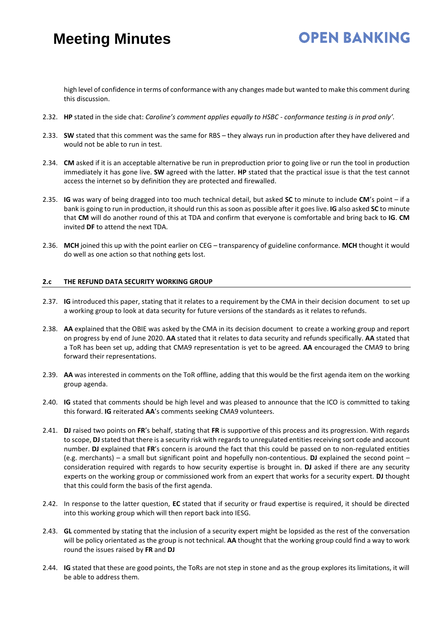# **OPEN BANKING**

high level of confidence in terms of conformance with any changes made but wanted to make this comment during this discussion.

- 2.32. **HP** stated in the side chat: *Caroline's comment applies equally to HSBC - conformance testing is in prod only'.*
- 2.33. **SW** stated that this comment was the same for RBS they always run in production after they have delivered and would not be able to run in test.
- 2.34. **CM** asked if it is an acceptable alternative be run in preproduction prior to going live or run the tool in production immediately it has gone live. **SW** agreed with the latter. **HP** stated that the practical issue is that the test cannot access the internet so by definition they are protected and firewalled.
- 2.35. **IG** was wary of being dragged into too much technical detail, but asked **SC** to minute to include **CM**'s point if a bank is going to run in production, it should run this as soon as possible after it goes live. **IG** also asked **SC** to minute that **CM** will do another round of this at TDA and confirm that everyone is comfortable and bring back to **IG**. **CM** invited **DF** to attend the next TDA.
- 2.36. **MCH** joined this up with the point earlier on CEG transparency of guideline conformance. **MCH** thought it would do well as one action so that nothing gets lost.

#### **2.c THE REFUND DATA SECURITY WORKING GROUP**

- 2.37. **IG** introduced this paper, stating that it relates to a requirement by the CMA in their decision document to set up a working group to look at data security for future versions of the standards as it relates to refunds.
- 2.38. **AA** explained that the OBIE was asked by the CMA in its decision document to create a working group and report on progress by end of June 2020. **AA** stated that it relates to data security and refunds specifically. **AA** stated that a ToR has been set up, adding that CMA9 representation is yet to be agreed. **AA** encouraged the CMA9 to bring forward their representations.
- 2.39. **AA** was interested in comments on the ToR offline, adding that this would be the first agenda item on the working group agenda.
- 2.40. **IG** stated that comments should be high level and was pleased to announce that the ICO is committed to taking this forward. **IG** reiterated **AA**'s comments seeking CMA9 volunteers.
- 2.41. **DJ** raised two points on **FR**'s behalf, stating that **FR** is supportive of this process and its progression. With regards to scope, **DJ** stated that there is a security risk with regards to unregulated entities receiving sort code and account number. **DJ** explained that **FR**'s concern is around the fact that this could be passed on to non-regulated entities (e.g. merchants) – a small but significant point and hopefully non-contentious. **DJ** explained the second point – consideration required with regards to how security expertise is brought in. **DJ** asked if there are any security experts on the working group or commissioned work from an expert that works for a security expert. **DJ** thought that this could form the basis of the first agenda.
- 2.42. In response to the latter question, **EC** stated that if security or fraud expertise is required, it should be directed into this working group which will then report back into IESG.
- 2.43. **GL** commented by stating that the inclusion of a security expert might be lopsided as the rest of the conversation will be policy orientated as the group is not technical. **AA** thought that the working group could find a way to work round the issues raised by **FR** and **DJ**
- 2.44. **IG** stated that these are good points, the ToRs are not step in stone and as the group explores its limitations, it will be able to address them.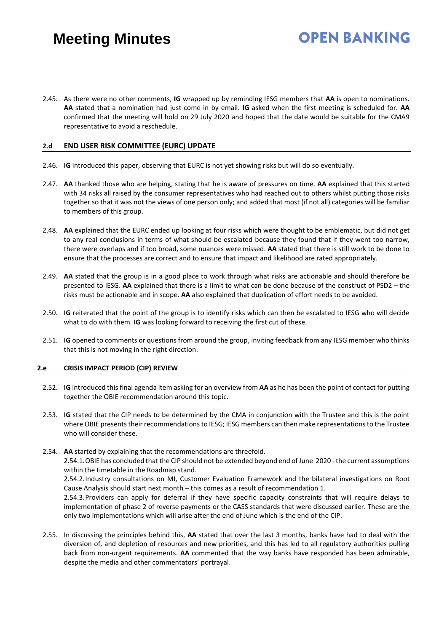# **OPEN BANKING**

2.45. As there were no other comments, **IG** wrapped up by reminding IESG members that **AA** is open to nominations. **AA** stated that a nomination had just come in by email. **IG** asked when the first meeting is scheduled for. **AA** confirmed that the meeting will hold on 29 July 2020 and hoped that the date would be suitable for the CMA9 representative to avoid a reschedule.

#### **2.d END USER RISK COMMITTEE (EURC) UPDATE**

- 2.46. **IG** introduced this paper, observing that EURC is not yet showing risks but will do so eventually.
- 2.47. **AA** thanked those who are helping, stating that he is aware of pressures on time. **AA** explained that this started with 34 risks all raised by the consumer representatives who had reached out to others whilst putting those risks together so that it was not the views of one person only; and added that most (if not all) categories will be familiar to members of this group.
- 2.48. **AA** explained that the EURC ended up looking at four risks which were thought to be emblematic, but did not get to any real conclusions in terms of what should be escalated because they found that if they went too narrow, there were overlaps and if too broad, some nuances were missed. **AA** stated that there is still work to be done to ensure that the processes are correct and to ensure that impact and likelihood are rated appropriately.
- 2.49. **AA** stated that the group is in a good place to work through what risks are actionable and should therefore be presented to IESG. **AA** explained that there is a limit to what can be done because of the construct of PSD2 – the risks must be actionable and in scope. **AA** also explained that duplication of effort needs to be avoided.
- 2.50. **IG** reiterated that the point of the group is to identify risks which can then be escalated to IESG who will decide what to do with them. **IG** was looking forward to receiving the first cut of these.
- 2.51. **IG** opened to comments or questions from around the group, inviting feedback from any IESG member who thinks that this is not moving in the right direction.

#### **2.e CRISIS IMPACT PERIOD (CIP) REVIEW**

- 2.52. **IG** introduced this final agenda item asking for an overview from **AA** as he has been the point of contact for putting together the OBIE recommendation around this topic.
- 2.53. **IG** stated that the CIP needs to be determined by the CMA in conjunction with the Trustee and this is the point where OBIE presents their recommendations to IESG; IESG members can then make representations to the Trustee who will consider these.
- 2.54. **AA** started by explaining that the recommendations are threefold. 2.54.1.OBIE has concluded that the CIP should not be extended beyond end of June 2020 -the current assumptions

within the timetable in the Roadmap stand. 2.54.2.Industry consultations on MI, Customer Evaluation Framework and the bilateral investigations on Root Cause Analysis should start next month – this comes as a result of recommendation 1.

2.54.3.Providers can apply for deferral if they have specific capacity constraints that will require delays to implementation of phase 2 of reverse payments or the CASS standards that were discussed earlier. These are the only two implementations which will arise after the end of June which is the end of the CIP.

2.55. In discussing the principles behind this, **AA** stated that over the last 3 months, banks have had to deal with the diversion of, and depletion of resources and new priorities, and this has led to all regulatory authorities pulling back from non-urgent requirements. **AA** commented that the way banks have responded has been admirable, despite the media and other commentators' portrayal.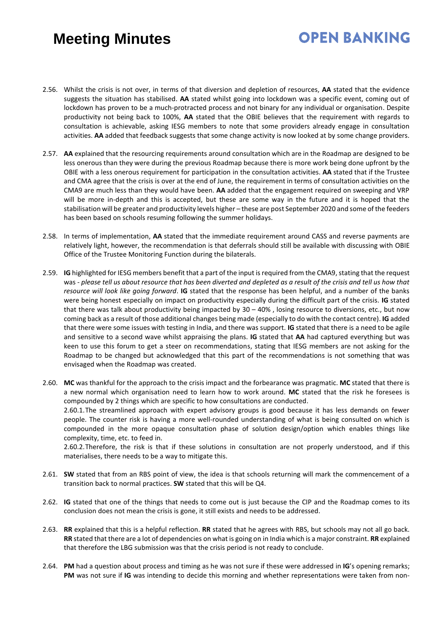# **OPEN BANKING**

- 2.56. Whilst the crisis is not over, in terms of that diversion and depletion of resources, **AA** stated that the evidence suggests the situation has stabilised. **AA** stated whilst going into lockdown was a specific event, coming out of lockdown has proven to be a much-protracted process and not binary for any individual or organisation. Despite productivity not being back to 100%, **AA** stated that the OBIE believes that the requirement with regards to consultation is achievable, asking IESG members to note that some providers already engage in consultation activities. **AA** added that feedback suggests that some change activity is now looked at by some change providers.
- 2.57. **AA** explained that the resourcing requirements around consultation which are in the Roadmap are designed to be less onerous than they were during the previous Roadmap because there is more work being done upfront by the OBIE with a less onerous requirement for participation in the consultation activities. **AA** stated that if the Trustee and CMA agree that the crisis is over at the end of June, the requirement in terms of consultation activities on the CMA9 are much less than they would have been. **AA** added that the engagement required on sweeping and VRP will be more in-depth and this is accepted, but these are some way in the future and it is hoped that the stabilisation will be greater and productivity levels higher – these are post September 2020 and some of the feeders has been based on schools resuming following the summer holidays.
- 2.58. In terms of implementation, **AA** stated that the immediate requirement around CASS and reverse payments are relatively light, however, the recommendation is that deferrals should still be available with discussing with OBIE Office of the Trustee Monitoring Function during the bilaterals.
- 2.59. **IG** highlighted for IESG members benefit that a part of the input is required from the CMA9, stating that the request was - *please tell us about resource that has been diverted and depleted as a result of the crisis and tell us how that resource will look like going forward*. **IG** stated that the response has been helpful, and a number of the banks were being honest especially on impact on productivity especially during the difficult part of the crisis. **IG** stated that there was talk about productivity being impacted by 30 – 40% , losing resource to diversions, etc., but now coming back as a result of those additional changes being made (especially to do with the contact centre). **IG** added that there were some issues with testing in India, and there was support. **IG** stated that there is a need to be agile and sensitive to a second wave whilst appraising the plans. **IG** stated that **AA** had captured everything but was keen to use this forum to get a steer on recommendations, stating that IESG members are not asking for the Roadmap to be changed but acknowledged that this part of the recommendations is not something that was envisaged when the Roadmap was created.
- 2.60. **MC** was thankful for the approach to the crisis impact and the forbearance was pragmatic. **MC** stated that there is a new normal which organisation need to learn how to work around. **MC** stated that the risk he foresees is compounded by 2 things which are specific to how consultations are conducted. 2.60.1.The streamlined approach with expert advisory groups is good because it has less demands on fewer people. The counter risk is having a more well-rounded understanding of what is being consulted on which is compounded in the more opaque consultation phase of solution design/option which enables things like complexity, time, etc. to feed in.

2.60.2.Therefore, the risk is that if these solutions in consultation are not properly understood, and if this materialises, there needs to be a way to mitigate this.

- 2.61. **SW** stated that from an RBS point of view, the idea is that schools returning will mark the commencement of a transition back to normal practices. **SW** stated that this will be Q4.
- 2.62. **IG** stated that one of the things that needs to come out is just because the CIP and the Roadmap comes to its conclusion does not mean the crisis is gone, it still exists and needs to be addressed.
- 2.63. **RR** explained that this is a helpful reflection. **RR** stated that he agrees with RBS, but schools may not all go back. **RR** stated that there are a lot of dependencies on what is going on in India which is a major constraint. **RR** explained that therefore the LBG submission was that the crisis period is not ready to conclude.
- 2.64. **PM** had a question about process and timing as he was not sure if these were addressed in **IG**'s opening remarks; **PM** was not sure if **IG** was intending to decide this morning and whether representations were taken from non-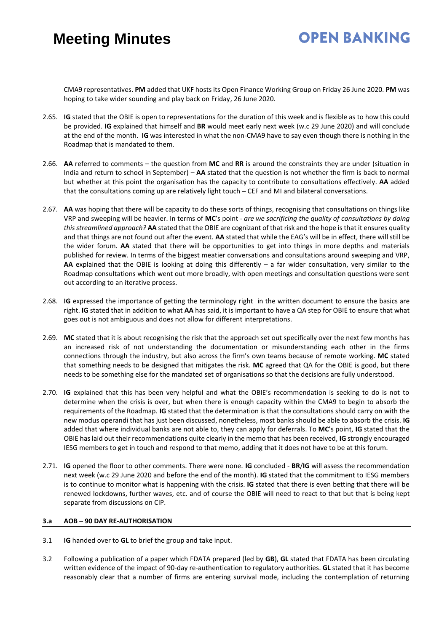# **OPEN BANKING**

CMA9 representatives. **PM** added that UKF hosts its Open Finance Working Group on Friday 26 June 2020. **PM** was hoping to take wider sounding and play back on Friday, 26 June 2020.

- 2.65. **IG** stated that the OBIE is open to representations for the duration of this week and is flexible as to how this could be provided. **IG** explained that himself and **BR** would meet early next week (w.c 29 June 2020) and will conclude at the end of the month. **IG** was interested in what the non-CMA9 have to say even though there is nothing in the Roadmap that is mandated to them.
- 2.66. **AA** referred to comments the question from **MC** and **RR** is around the constraints they are under (situation in India and return to school in September) – **AA** stated that the question is not whether the firm is back to normal but whether at this point the organisation has the capacity to contribute to consultations effectively. **AA** added that the consultations coming up are relatively light touch – CEF and MI and bilateral conversations.
- 2.67. **AA** was hoping that there will be capacity to do these sorts of things, recognising that consultations on things like VRP and sweeping will be heavier. In terms of **MC**'s point - *are we sacrificing the quality of consultations by doing this streamlined approach?* **AA** stated that the OBIE are cognizant of that risk and the hope is that it ensures quality and that things are not found out after the event. **AA** stated that while the EAG's will be in effect, there will still be the wider forum. **AA** stated that there will be opportunities to get into things in more depths and materials published for review. In terms of the biggest meatier conversations and consultations around sweeping and VRP, **AA** explained that the OBIE is looking at doing this differently – a far wider consultation, very similar to the Roadmap consultations which went out more broadly, with open meetings and consultation questions were sent out according to an iterative process.
- 2.68. **IG** expressed the importance of getting the terminology right in the written document to ensure the basics are right. **IG** stated that in addition to what **AA** has said, it is important to have a QA step for OBIE to ensure that what goes out is not ambiguous and does not allow for different interpretations.
- 2.69. **MC** stated that it is about recognising the risk that the approach set out specifically over the next few months has an increased risk of not understanding the documentation or misunderstanding each other in the firms connections through the industry, but also across the firm's own teams because of remote working. **MC** stated that something needs to be designed that mitigates the risk. **MC** agreed that QA for the OBIE is good, but there needs to be something else for the mandated set of organisations so that the decisions are fully understood.
- 2.70. **IG** explained that this has been very helpful and what the OBIE's recommendation is seeking to do is not to determine when the crisis is over, but when there is enough capacity within the CMA9 to begin to absorb the requirements of the Roadmap. **IG** stated that the determination is that the consultations should carry on with the new modus operandi that has just been discussed, nonetheless, most banks should be able to absorb the crisis. **IG** added that where individual banks are not able to, they can apply for deferrals. To **MC**'s point, **IG** stated that the OBIE has laid out their recommendations quite clearly in the memo that has been received, **IG** strongly encouraged IESG members to get in touch and respond to that memo, adding that it does not have to be at this forum.
- 2.71. **IG** opened the floor to other comments. There were none. **IG** concluded **BR**/**IG** will assess the recommendation next week (w.c 29 June 2020 and before the end of the month). **IG** stated that the commitment to IESG members is to continue to monitor what is happening with the crisis. **IG** stated that there is even betting that there will be renewed lockdowns, further waves, etc. and of course the OBIE will need to react to that but that is being kept separate from discussions on CIP.

#### **3.a AOB – 90 DAY RE-AUTHORISATION**

- 3.1 **IG** handed over to **GL** to brief the group and take input.
- 3.2 Following a publication of a paper which FDATA prepared (led by **GB**), **GL** stated that FDATA has been circulating written evidence of the impact of 90-day re-authentication to regulatory authorities. **GL** stated that it has become reasonably clear that a number of firms are entering survival mode, including the contemplation of returning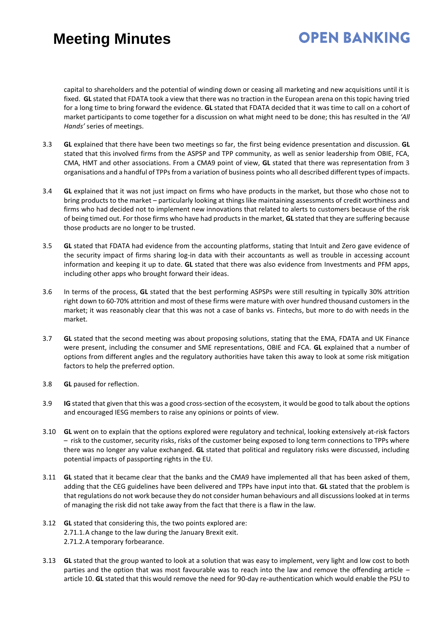# **OPEN BANKING**

capital to shareholders and the potential of winding down or ceasing all marketing and new acquisitions until it is fixed. **GL** stated that FDATA took a view that there was no traction in the European arena on this topic having tried for a long time to bring forward the evidence. **GL** stated that FDATA decided that it was time to call on a cohort of market participants to come together for a discussion on what might need to be done; this has resulted in the *'All Hands'* series of meetings.

- 3.3 **GL** explained that there have been two meetings so far, the first being evidence presentation and discussion. **GL** stated that this involved firms from the ASPSP and TPP community, as well as senior leadership from OBIE, FCA, CMA, HMT and other associations. From a CMA9 point of view, **GL** stated that there was representation from 3 organisations and a handful of TPPs from a variation of business points who all described different types of impacts.
- 3.4 **GL** explained that it was not just impact on firms who have products in the market, but those who chose not to bring products to the market – particularly looking at things like maintaining assessments of credit worthiness and firms who had decided not to implement new innovations that related to alerts to customers because of the risk of being timed out. For those firms who have had products in the market, **GL** stated that they are suffering because those products are no longer to be trusted.
- 3.5 **GL** stated that FDATA had evidence from the accounting platforms, stating that Intuit and Zero gave evidence of the security impact of firms sharing log-in data with their accountants as well as trouble in accessing account information and keeping it up to date. **GL** stated that there was also evidence from Investments and PFM apps, including other apps who brought forward their ideas.
- 3.6 In terms of the process, **GL** stated that the best performing ASPSPs were still resulting in typically 30% attrition right down to 60-70% attrition and most of these firms were mature with over hundred thousand customers in the market; it was reasonably clear that this was not a case of banks vs. Fintechs, but more to do with needs in the market.
- 3.7 **GL** stated that the second meeting was about proposing solutions, stating that the EMA, FDATA and UK Finance were present, including the consumer and SME representations, OBIE and FCA. **GL** explained that a number of options from different angles and the regulatory authorities have taken this away to look at some risk mitigation factors to help the preferred option.
- 3.8 **GL** paused for reflection.
- 3.9 **IG** stated that given that this was a good cross-section of the ecosystem, it would be good to talk about the options and encouraged IESG members to raise any opinions or points of view.
- 3.10 **GL** went on to explain that the options explored were regulatory and technical, looking extensively at-risk factors – risk to the customer, security risks, risks of the customer being exposed to long term connections to TPPs where there was no longer any value exchanged. **GL** stated that political and regulatory risks were discussed, including potential impacts of passporting rights in the EU.
- 3.11 **GL** stated that it became clear that the banks and the CMA9 have implemented all that has been asked of them, adding that the CEG guidelines have been delivered and TPPs have input into that. **GL** stated that the problem is that regulations do not work because they do not consider human behaviours and all discussions looked at in terms of managing the risk did not take away from the fact that there is a flaw in the law.
- 3.12 **GL** stated that considering this, the two points explored are: 2.71.1.A change to the law during the January Brexit exit. 2.71.2.A temporary forbearance.
- 3.13 **GL** stated that the group wanted to look at a solution that was easy to implement, very light and low cost to both parties and the option that was most favourable was to reach into the law and remove the offending article – article 10. **GL** stated that this would remove the need for 90-day re-authentication which would enable the PSU to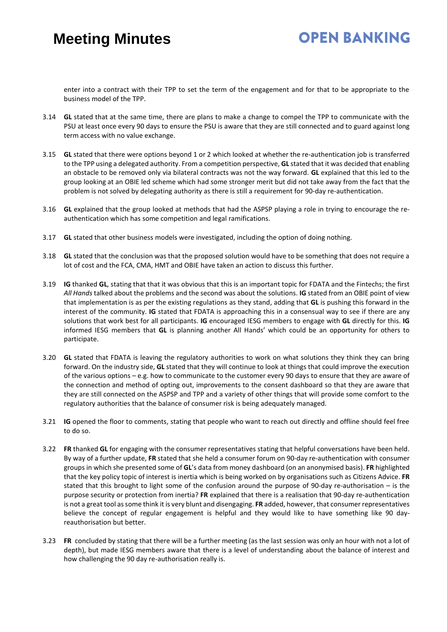### **OPEN BANKING**

enter into a contract with their TPP to set the term of the engagement and for that to be appropriate to the business model of the TPP.

- 3.14 **GL** stated that at the same time, there are plans to make a change to compel the TPP to communicate with the PSU at least once every 90 days to ensure the PSU is aware that they are still connected and to guard against long term access with no value exchange.
- 3.15 **GL** stated that there were options beyond 1 or 2 which looked at whether the re-authentication job is transferred to the TPP using a delegated authority. From a competition perspective, **GL** stated that it was decided that enabling an obstacle to be removed only via bilateral contracts was not the way forward. **GL** explained that this led to the group looking at an OBIE led scheme which had some stronger merit but did not take away from the fact that the problem is not solved by delegating authority as there is still a requirement for 90-day re-authentication.
- 3.16 **GL** explained that the group looked at methods that had the ASPSP playing a role in trying to encourage the reauthentication which has some competition and legal ramifications.
- 3.17 **GL** stated that other business models were investigated, including the option of doing nothing.
- 3.18 **GL** stated that the conclusion was that the proposed solution would have to be something that does not require a lot of cost and the FCA, CMA, HMT and OBIE have taken an action to discuss this further.
- 3.19 **IG** thanked **GL**, stating that that it was obvious that this is an important topic for FDATA and the Fintechs; the first *All Hands* talked about the problems and the second was about the solutions. **IG** stated from an OBIE point of view that implementation is as per the existing regulations as they stand, adding that **GL** is pushing this forward in the interest of the community. **IG** stated that FDATA is approaching this in a consensual way to see if there are any solutions that work best for all participants. **IG** encouraged IESG members to engage with **GL** directly for this. **IG** informed IESG members that **GL** is planning another All Hands' which could be an opportunity for others to participate.
- 3.20 **GL** stated that FDATA is leaving the regulatory authorities to work on what solutions they think they can bring forward. On the industry side, **GL** stated that they will continue to look at things that could improve the execution of the various options – e.g. how to communicate to the customer every 90 days to ensure that they are aware of the connection and method of opting out, improvements to the consent dashboard so that they are aware that they are still connected on the ASPSP and TPP and a variety of other things that will provide some comfort to the regulatory authorities that the balance of consumer risk is being adequately managed.
- 3.21 **IG** opened the floor to comments, stating that people who want to reach out directly and offline should feel free to do so.
- 3.22 **FR** thanked **GL** for engaging with the consumer representatives stating that helpful conversations have been held. By way of a further update, **FR** stated that she held a consumer forum on 90-day re-authentication with consumer groups in which she presented some of **GL**'s data from money dashboard (on an anonymised basis). **FR** highlighted that the key policy topic of interest is inertia which is being worked on by organisations such as Citizens Advice. **FR** stated that this brought to light some of the confusion around the purpose of 90-day re-authorisation – is the purpose security or protection from inertia? **FR** explained that there is a realisation that 90-day re-authentication is not a great tool as some think it is very blunt and disengaging. **FR** added, however, that consumer representatives believe the concept of regular engagement is helpful and they would like to have something like 90 dayreauthorisation but better.
- 3.23 **FR** concluded by stating that there will be a further meeting (as the last session was only an hour with not a lot of depth), but made IESG members aware that there is a level of understanding about the balance of interest and how challenging the 90 day re-authorisation really is.